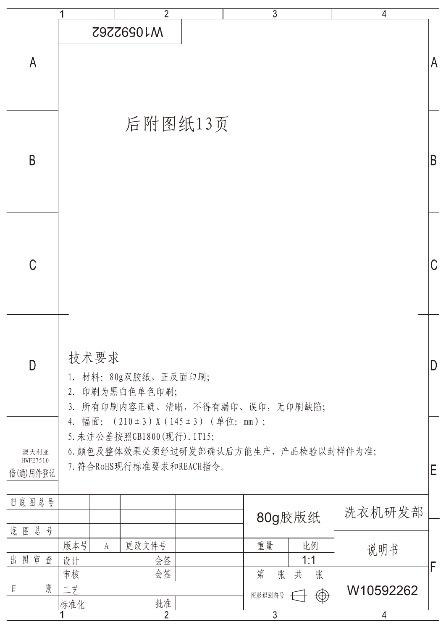|                                                                                                                                                                                            | $\overline{2}$                                                                    | $\overline{3}$                                              | 4                   |
|--------------------------------------------------------------------------------------------------------------------------------------------------------------------------------------------|-----------------------------------------------------------------------------------|-------------------------------------------------------------|---------------------|
| $\mathsf{A}$                                                                                                                                                                               | <b>M10592262</b>                                                                  |                                                             | A                   |
| B                                                                                                                                                                                          | 后附图纸13页                                                                           |                                                             | B                   |
| $\mathcal C$                                                                                                                                                                               |                                                                                   |                                                             |                     |
| D                                                                                                                                                                                          | 技术要求<br>1. 材料: 80g双胶纸, 正反面印刷;<br>2. 印刷为黑白色单色印刷;<br>3. 所有印刷内容正确、清晰,不得有漏印、误印,无印刷缺陷; |                                                             | D                   |
| 4. 幅面: (210±3) X (145±3) (单位: mm);<br>5. 未注公差按照GB1800(现行). IT15;<br>6. 颜色及整体效果必须经过研发部确认后方能生产, 产品检验以封样件为准;<br>澳大利亚<br><b>HWFE7510</b><br>7. 符合RoHS现行标准要求和REACH指令。<br>Ε<br>借(通)用件登记<br>旧底图总号 |                                                                                   |                                                             |                     |
| 底图总号<br>图审<br>查<br>出                                                                                                                                                                       | 版本号<br>更改文件号<br>$\mathbf{A}$<br>会签<br>设计                                          | 80g胶版纸<br>重量<br>比例<br>1:1                                   | 洗衣机研发部<br>说明书       |
| 期<br>$\boxdot$                                                                                                                                                                             | 会签<br>审核<br>工艺<br>批准<br>标准化<br>2                                                  | 第<br>张<br>共<br>张<br>$\bigoplus$<br>图形识别符号<br>$\overline{3}$ | F<br>W10592262<br>4 |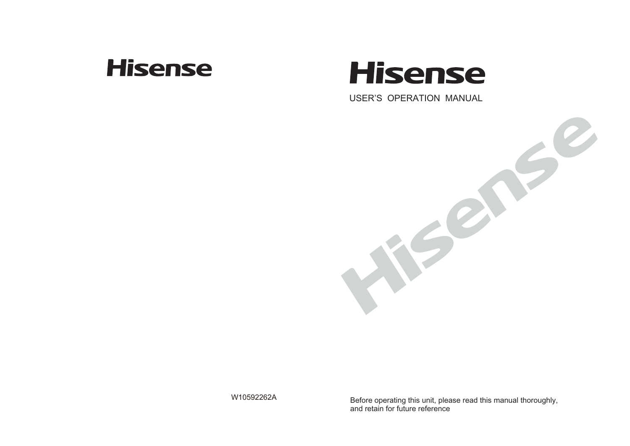## **Hisense**

# **Hisense**

USER'S OPERATION MANUAL



W10592262A

Before operating this unit, please read this manual thoroughly, and retain for future reference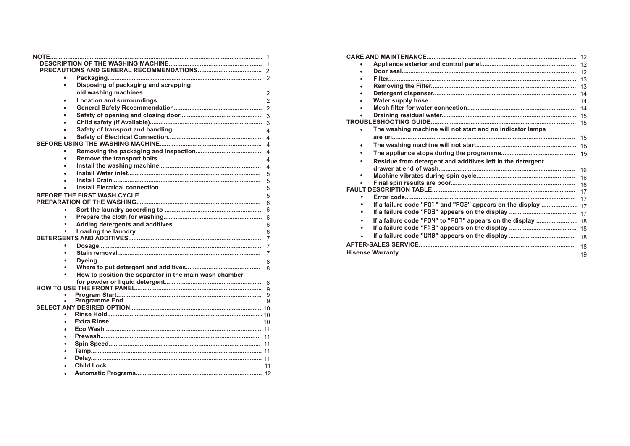| Disposing of packaging and scrapping<br>٠<br>$\bullet$<br>5<br>5<br>5<br>5<br>6<br>٠<br>٠<br>6<br>7 |
|-----------------------------------------------------------------------------------------------------|
|                                                                                                     |
|                                                                                                     |
|                                                                                                     |
|                                                                                                     |
|                                                                                                     |
|                                                                                                     |
|                                                                                                     |
|                                                                                                     |
|                                                                                                     |
|                                                                                                     |
|                                                                                                     |
|                                                                                                     |
|                                                                                                     |
|                                                                                                     |
|                                                                                                     |
|                                                                                                     |
|                                                                                                     |
|                                                                                                     |
|                                                                                                     |
|                                                                                                     |
|                                                                                                     |
|                                                                                                     |
|                                                                                                     |
|                                                                                                     |
| 7                                                                                                   |
| 7                                                                                                   |
| $\mathsf{R}$                                                                                        |
| 8                                                                                                   |
| How to position the separator in the main wash chamber                                              |
|                                                                                                     |
|                                                                                                     |
|                                                                                                     |
|                                                                                                     |
|                                                                                                     |
|                                                                                                     |
| ٠                                                                                                   |
|                                                                                                     |
|                                                                                                     |
| ٠                                                                                                   |
|                                                                                                     |
|                                                                                                     |
|                                                                                                     |

| ٠ | The washing machine will not start and no indicator lamps    |  |  |
|---|--------------------------------------------------------------|--|--|
|   |                                                              |  |  |
| ٠ |                                                              |  |  |
|   |                                                              |  |  |
|   | Residue from detergent and additives left in the detergent   |  |  |
|   |                                                              |  |  |
| ٠ |                                                              |  |  |
|   |                                                              |  |  |
|   |                                                              |  |  |
| ٠ |                                                              |  |  |
|   | If a failure code "F01" and "F02" appears on the display  17 |  |  |
|   |                                                              |  |  |
|   | If a failure code "FOY" to "FOT" appears on the display  18  |  |  |
| ٠ |                                                              |  |  |
| ٠ |                                                              |  |  |
|   |                                                              |  |  |
|   |                                                              |  |  |
|   |                                                              |  |  |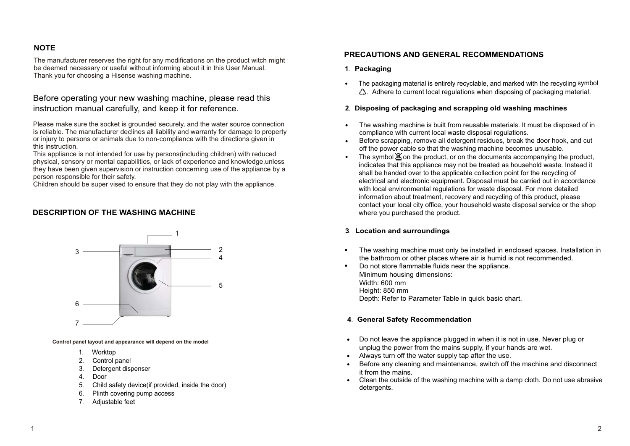### **NOTE**

The manufacturer reserves the right for any modifications on the product witch might be deemed necessary or useful without informing about it in this User Manual. Thank you for choosing a Hisense washing machine.

### Before operating your new washing machine, please read this instruction manual carefully, and keep it for reference.

Please make sure the socket is grounded securely, and the water source connection is reliable. The manufacturer declines all liability and warranty for damage to property or injury to persons or animals due to non-compliance with the directions given in this instruction.

This appliance is not intended for use by persons(including children) with reduced physical, sensory or mental capabilities, or lack of experience and knowledge,unless they have been given supervision or instruction concerning use of the appliance by a person responsible for their safety.

Children should be super vised to ensure that they do not play with the appliance.

#### **DESCRIPTION OF THE WASHING MACHINE**



**Control panel layout and appearance will depend on the model**

- 1. Worktop
- 2. Control panel
- 3. Detergent dispenser
- 4. Door
- 5. Child safety device(if provided, inside the door)
- 6. Plinth covering pump access
- 7. Adjustable feet

#### **PRECAUTIONS AND GENERAL RECOMMENDATIONS**

- **1**. **Packaging**
- . The packaging material is entirely recyclable, and marked with the recycling symbol  $\bigtriangleup$ . Adhere to current local regulations when disposing of packaging material.

#### **2**. **Disposing of packaging and scrapping old washing machines**

- The washing machine is built from reusable materials. It must be disposed of in compliance with current local waste disposal regulations. .
- Before scrapping, remove all detergent residues, break the door hook, and cut off the power cable so that the washing machine becomes unusable. . .
- The symbol  $\mathbb X$  on the product, or on the documents accompanying the product, indicates that this appliance may not be treated as household waste. Instead it shall be handed over to the applicable collection point for the recycling of electrical and electronic equipment. Disposal must be carried out in accordance with local environmental regulations for waste disposal. For more detailed information about treatment, recovery and recycling of this product, please contact your local city office, your household waste disposal service or the shop where you purchased the product.

#### **3**. **Location and surroundings**

- The washing machine must only be installed in enclosed spaces. Installation in the bathroom or other places where air is humid is not recommended. .
- Do not store flammable fluids near the appliance. Minimum housing dimensions: Width: 600 mm Height: 850 mm Depth: Refer to Parameter Table in quick basic chart. .

#### **4**. **General Safety Recommendation**

- Do not leave the appliance plugged in when it is not in use. Never plug or . unplug the power from the mains supply, if your hands are wet.
- unplug the power from the mains supply, if your having all ways turn off the water supply tap after the use. .
- Before any cleaning and maintenance, switch off the machine and disconnect it from the mains.
- it from the mains.<br>• Clean the outside of the washing machine with a damp cloth. Do not use abrasive detergents.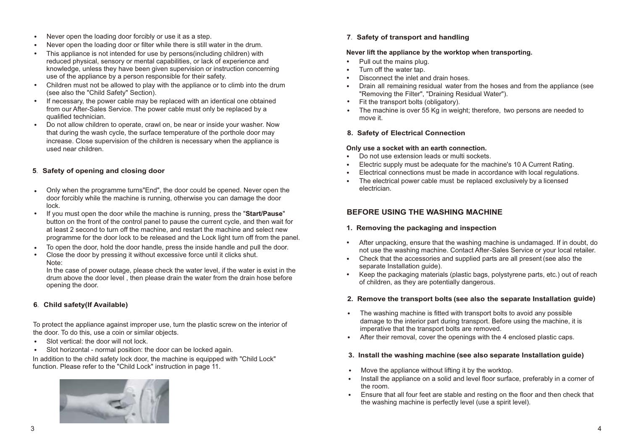- Never open the loading door forcibly or use it as a step. .
- Never open the loading door or filter while there is still water in the drum. .
- This appliance is not intended for use by persons(including children) with reduced physical, sensory or mental capabilities, or lack of experience and knowledge, unless they have been given supervision or instruction concerning use of the appliance by a person responsible for their safety. .
- Children must not be allowed to play with the appliance or to climb into the drum (see also the "Child Safety" Section). .
- If necessary, the power cable may be replaced with an identical one obtained from our After-Sales Service. The power cable must only be replaced by a qualified technician. .
- Do not allow children to operate, crawl on, be near or inside your washer. Now that during the wash cycle, the surface temperature of the porthole door may increase. Close supervision of the children is necessary when the appliance is used near children. .

#### **5**. **Safety of opening and closing door**

- Only when the programme turns"End", the door could be opened. Never open the door forcibly while the machine is running, otherwise you can damage the door lock. .
- If you must open the door while the machine is running, press the "**Start/Pause**" button on the front of the control panel to pause the current cycle, and then wait for at least 2 second to turn off the machine, and restart the machine and select new programme for the door lock to be released and the Lock light turn off from the panel. .
- To open the door, hold the door handle, press the inside handle and pull the door. . .
- Close the door by pressing it without excessive force until it clicks shut. Note:

In the case of power outage, please check the water level, if the water is exist in the drum above the door level , then please drain the water from the drain hose before opening the door.

#### **6**. **Child safety(If Available)**

To protect the appliance against improper use, turn the plastic screw on the interior of the door. To do this, use a coin or similar objects. .

- Slot vertical: the door will not lock.
- Slot vertical: the door will not lock.<br>• Slot horizontal normal position: the door can be locked again.

In addition to the child safety lock door, the machine is equipped with "Child Lock" function. Please refer to the "Child Lock" instruction in page 11.



**7**. **Safety of transport and handling**

## **Never lift the appliance by the worktop when transporting.** .

- Pull out the mains plug. .
- Turn off the water tap.
- . Disconnect the inlet and drain hoses.
- . . Drain all remaining residual water from the hoses and from the appliance (see "Removing the Filter", "Draining Residual Water").
- Fit the transport bolts (obligatory).
- . The machine is over 55 Kg in weight; therefore, two persons are needed to move it.

#### **8. Safety of Electrical Connection**

- . . **Only use a socket with an earth connection.** Do not use extension leads or multi sockets.
- . Electric supply must be adequate for the machine's 10 A Current Rating.
- Electrical connections must be made in accordance with local regulations.
- . The electrical power cable must be replaced exclusively by a licensed electrician.

#### **BEFORE USING THE WASHING MACHINE**

#### **1. Removing the packaging and inspection**

- . After unpacking, ensure that the washing machine is undamaged. If in doubt, do not use the washing machine. Contact After-Sales Service or your local retailer.
- . . Check that the accessories and supplied parts are all present (see also the separate Installation quide).
- Keep the packaging materials (plastic bags, polystyrene parts, etc.) out of reach of children, as they are potentially dangerous.

#### **2. Remove the transport bolts (see also the separate Installation guide)**

- The washing machine is fitted with transport bolts to avoid any possible damage to the interior part during transport. Before using the machine, it is imperative that the transport bolts are removed. . .
- After their removal, cover the openings with the 4 enclosed plastic caps.

#### **3. Install the washing machine (see also separate Installation guide)**

- Move the appliance without lifting it by the worktop. .
- Install the appliance on a solid and level floor surface, preferably in a corner of the room. .
- the room.<br>
Finsure that all four feet are stable and resting on the floor and then check that the washing machine is perfectly level (use a spirit level).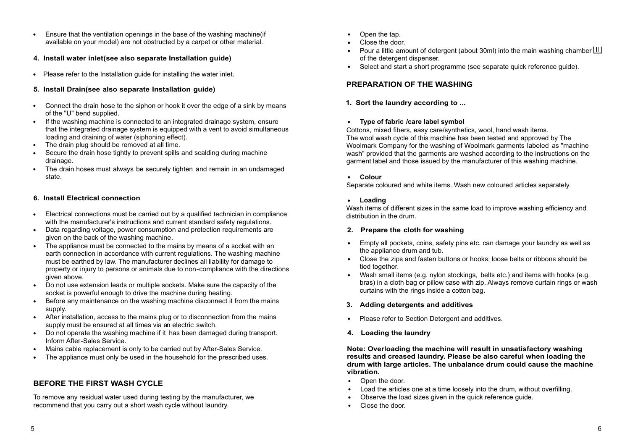- Ensure that the ventilation openings in the base of the washing machine(if available on your model) are not obstructed by a carpet or other material. .
- **4. Install water inlet(see also separate Installation guide)**
- Please refer to the Installation guide for installing the water inlet. .

#### **5. Install Drain(see also separate Installation guide)**

- Connect the drain hose to the siphon or hook it over the edge of a sink by means of the "U" bend supplied.
- of the "U" bend supplied.<br>
If the washing machine is connected to an integrated drainage system, ensure that the integrated drainage system is equipped with a vent to avoid simultaneous loading and draining of water (siphoning effect). loading and draining of water (siphoning effect • The drain plug should be removed at all time.
- 
- Secure the drain hose tightly to prevent spills and scalding during machine drainage. .
- The drain hoses must always be securely tighten and remain in an undamaged state. .

#### **6. Install Electrical connection**

- Electrical connections must be carried out by a qualified technician in compliance with the manufacturer's instructions and current standard safety regulations. .
- Data regarding voltage, power consumption and protection requirements are given on the back of the washing machine. .
- given on the back of the washing machine.<br>• The appliance must be connected to the mains by means of a socket with an earth connection in accordance with current regulations. The washing machine must be earthed by law. The manufacturer declines all liability for damage to property or injury to persons or animals due to non-compliance with the directions given above.
- Do not use extension leads or multiple sockets. Make sure the capacity of the socket is powerful enough to drive the machine during heating.  $\bullet$
- Before any maintenance on the washing machine disconnect it from the mains supply. .
- supply.<br>• After installation, access to the mains plug or to disconnection from the mains supply must be ensured at all times via an electric switch.
- Do not operate the washing machine if it has been damaged during transport. Inform After-Sales Service. . .
- Mains cable replacement is only to be carried out by After-Sales Service. .
- The appliance must only be used in the household for the prescribed uses.

#### **BEFORE THE FIRST WASH CYCLE**

recommend that you carry out a short wash cycle without laundry. To remove any residual water used during testing by the manufacturer, we

- Open the tap. . .
- Close the door.
- Close the door.<br>• Pour a little amount of detergent (about 30ml) into the main wash of the detergent dispenser. ing chamber
- . Select and start a short programme (see separate quick reference guide).

#### **PREPARATION OF THE WASHING**

**1. Sort the laundry according to ...**

## **Type of fabric /care label symbol** .

Cottons, mixed fibers, easy care/synthetics, wool, hand wash items. The wool wash cycle of this machine has been tested and approved by The Woolmark Company for the washing of Woolmark garments labeled as "machine wash" provided that the garments are washed according to the instructions on the garment label and those issued by the manufacturer of this washing machine.

## **.** Colour

Separate coloured and white items. Wash new coloured articles separately.

## **Loading** .

Wash items of different sizes in the same load to improve washing efficiency and distribution in the drum.

#### **2. Prepare the cloth for washing**

- Empty all pockets, coins, safety pins etc. can damage your laundry as well as . the appliance drum and tub.
- the appliance drum and tub.<br>
 Close the zips and fasten buttons or hooks; loose belts or ribbons should be tied together.
- tied together.<br>• Wash small items (e.g. nylon stockings, belts etc.) and items with hooks (e.g. bras) in a cloth bag or pillow case with zip. Always remove curtain rings or wash curtains with the rings inside a cotton bag.

#### **3. Adding detergents and additives**

- Please refer to Section Detergent and additives.
- **4. Loading the laundry**

**Note: Overloading the machine will result in unsatisfactory washing results and creased laundry. Please be also careful when loading the drum with large articles. The unbalance drum could cause the machine vibration.**  .

- Open the door.
- Load the articles one at a time loosely into the drum, without overfilling. . .
- Observe the load sizes given in the quick reference guide. .
- Close the door.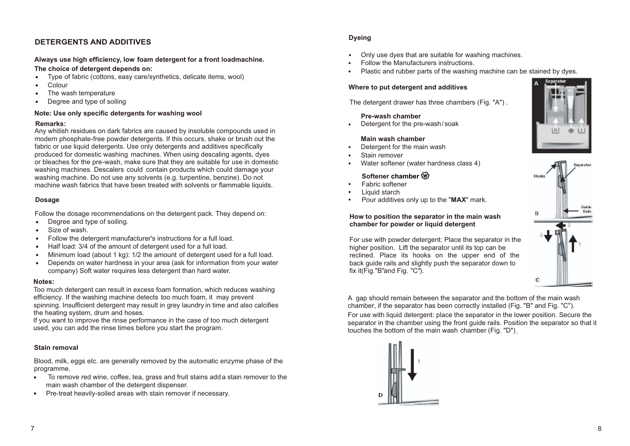### **DETERGENTS AND ADDITIVES**

#### **Always use high efficiency, low foam detergent for a front loadmachine.**

- **The choice of detergent depends on:**<br>• Type of fabric (cottons, easy care/s Type of fabric (cottons, easy care/synthetics, delicate items, wool) .
- Colour .
- The wash temperature
- Degree and type of soiling .

#### **Note: Use only specific detergents for washing wool**

#### **Remarks:**

Any whitish residues on dark fabrics are caused by insoluble compounds used in modern phosphate-free powder detergents. If this occurs, shake or brush out the fabric or use liquid detergents. Use only detergents and additives specifically produced for domestic washing machines. When using descaling agents, dyes or bleaches for the pre-wash, make sure that they are suitable for use in domestic washing machines. Descalers could contain products which could damage your washing machine. Do not use any solvents (e.g. turpentine, benzine). Do not machine wash fabrics that have been treated with solvents or flammable liquids.

#### **Dosage**

Follow the dosage recommendations on the detergent pack. They depend on:<br>• Degree and type of soiling.

- Degree and type of soiling. .
- Size of wash. .
- Follow the detergent manufacturer's instructions for a full load.
- Half load: 3/4 of the amount of detergent used for a full load. .
- Minimum load (about 1 kg): 1/2 the amount of detergent used for a full load. .
- Depends on water hardness in your area (ask for information from your water company) Soft water requires less detergent than hard water. .

#### **Notes:**

Too much detergent can result in excess foam formation, which reduces washing efficiency. If the washing machine detects too much foam, it may prevent spinning. Insufficient detergent may result in grey laundry in time and also calcifies the heating system, drum and hoses.

If you want to improve the rinse performance in the case of too much detergent used, you can add the rinse times before you start the program.

#### **Stain removal**

Blood, milk, eggs etc. are generally removed by the automatic enzyme phase of the

- programme. . To remove red wine, coffee, tea, grass and fruit stains adda stain remover to the main wash chamber of the detergent dispenser.
- Pre-treat heavily-soiled areas with stain remover if necessary.  $\bullet$

### **Dyeing**

- Only use dyes that are suitable for washing machines. .
- Follow the Manufacturers instructions. . .
- Plastic and rubber parts of the washing machine can be stained by dyes.

#### **Where to put detergent and additives**

The detergent drawer has three chambers (Fig. "A") .

#### **Pre-wash chamber**

Detergent for the pre-wash/soak .

#### **Main wash chamber**

- Detergent for the main wash .
- Stain remover .
- Water softener (water hardness class 4) .

#### **Softener chamber**

- Fabric softener .
- Liquid starch . .
- Pour additives only up to the "**MAX**" mark.

#### **How to position the separator in the main wash chamber for powder or liquid detergent**

For use with powder detergent: Place the separator in the higher position. Lift the separator until its top can be reclined. Place its hooks on the upper end of the back guide rails and slightly push the separator down to fix it( $Fig.$ "B"and Fig. " $C$ ").

A gap should remain between the separator and the bottom of the main wash chamber, if the separator has been correctly installed (Fig. "B" and Fig. "C"). For use with liquid detergent: place the separator in the lower position. Secure the separator in the chamber using the front guide rails. Position the separator so that it touches the bottom of the main wash chamber (Fig. "D").





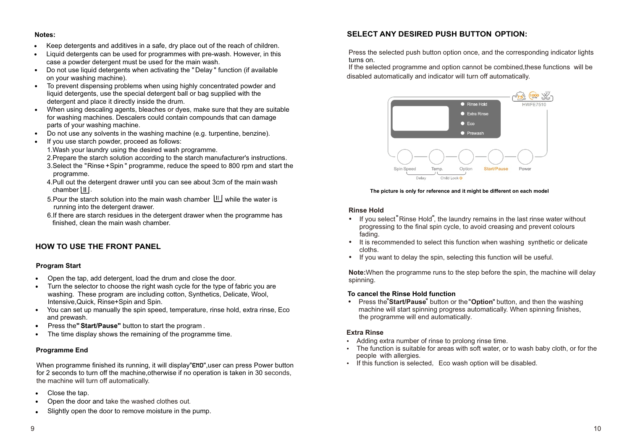- **Notes:** . Keep detergents and additives in a safe, dry place out of the reach of children.
- Liquid detergents can be used for programmes with pre-wash. However, in this case a powder detergent must be used for the main wash. .
- Do not use liquid detergents when activating the " Delay " function (if available on your washing machine). .
- To prevent dispensing problems when using highly concentrated powder and liquid detergents, use the special detergent ball or bag supplied with the detergent and place it directly inside the drum. .
- When using descaling agents, bleaches or dyes, make sure that they are suitable for washing machines. Descalers could contain compounds that can damage parts of your washing machine. .
- Do not use any solvents in the washing machine (e.g. turpentine, benzine). .
- If you use starch powder, proceed as follows: .
	- 1.Wash your laundry using the desired wash programme.
	- 2.Prepare the starch solution according to the starch manufacturer's instructions.
	- 3.Select the "Rinse + Spin " programme, reduce the speed to 800 rpm and start the programme.
	- 4. Pull out the detergent drawer until you can see about 3cm of the main wash  $chamber$   $||$   $||$ .
	- 5.Pour the starch solution into the main wash chamber  $\mathbb{H}$  while the water is running into the detergent drawer.
	- 6.If there are starch residues in the detergent drawer when the programme has finished, clean the main wash chamber.

#### **HOW TO USE THE FRONT PANEL**

#### **Program Start**

- . Open the tap, add detergent, load the drum and close the door.
- Turn the selector to choose the right wash cycle for the type of fabric you are washing. These program are including cotton, Synthetics, Delicate, Wool, Intensive,Quick, Rinse+Spin and Spin. .
- You can set up manually the spin speed, temperature, rinse hold, extra rinse, Eco and prewash. .
- . Press the**"Start/Pause"** button to start the program . .
- The time display shows the remaining of the programme time.

#### **Programme End**

When programme finished its running, it will display"END", user can press Power button for 2 seconds to turn off the machine,otherwise if no operation is taken in 30 seconds, the machine will turn off automatically.<br>• Close the tap.

- . Close the tap.
- Open the door and take the washed clothes out.
- . Slightly open the door to remove moisture in the pump.

#### **SELECT ANY DESIRED PUSH BUTTON OPTION:**

Press the selected push button option once, and the corresponding indicator lights turns on.

 If the selected programme and option cannot be combined,these functions will be disabled automatically and indicator will turn off automatically.



#### **The picture is only for reference and it might be different on each model**

#### **Rinse Hold**

- If you select Rinse Hold", the laundry remains in the last rinse water without progressing to the final spin cycle, to avoid creasing and prevent colours fading.
- It is recommended to select this function when washing synthetic or delicate cloths.
- If you want to delay the spin, selecting this function will be useful.

**Note:**When the programme runs to the step before the spin, the machine will delay spinning.

#### **To cancel the Rinse Hold function**

 Press the"**Start/Pause**" button or the"**Option**" button, and then the washing machine will start spinning progress automatically. When spinning finishes, the programme will end automatically.

#### **Extra Rinse**

- Adding extra number of rinse to prolong rinse time.
- The function is suitable for areas with soft water, or to wash baby cloth, or for the people with allergies.
- If this function is selected, Eco wash option will be disabled.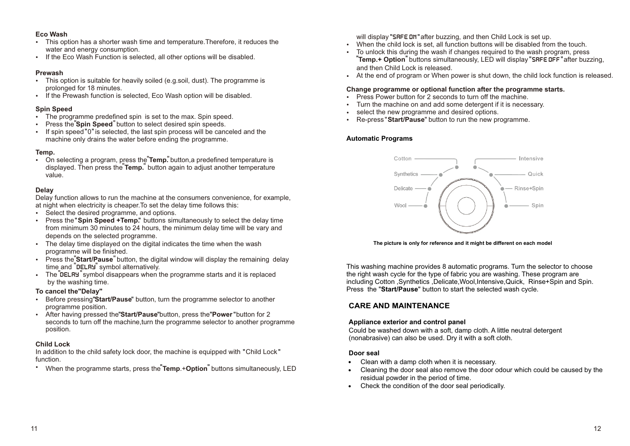### **Eco Wash**

- This option has a shorter wash time and temperature.Therefore, it reduces the water and energy consumption.
- If the Eco Wash Function is selected, all other options will be disabled.

#### **Prewash**

- This option is suitable for heavily soiled (e.g.soil, dust). The programme is prolonged for 18 minutes.
- If the Prewash function is selected, Eco Wash option will be disabled.

#### **Spin Speed**

- The programme predefined spin is set to the max. Spin speed.
- Press the "Spin Speed" button to select desired spin speeds.
- If spin speed "0" is selected, the last spin process will be canceled and the machine only drains the water before ending the programme.

### **Temp.**

• On selecting a program, press the **Temp**. button,a predefined temperature is displayed. Then press the **Temp.**" button again to adjust another temperature value.

#### **Delay**

Delay function allows to run the machine at the consumers convenience, for example, at night when electricity is cheaper.To set the delay time follows this:

- Select the desired programme, and options.
- Press the "Spin Speed +Temp." buttons simultaneously to select the delay time from minimum 30 minutes to 24 hours, the minimum delay time will be vary and depends on the selected programme.
- . programme will be finished. The delay time displayed on the digital indicates the time when the wash
- Press the<sup>"</sup>Start/Pause<sup>"</sup> button, the digital window will display the remaining delay time and "DELRY" symbol alternatively.
- The DELRY symbol disappears when the programme starts and it is replaced by the washing time.

#### **To cancel the"Delay"**

- Before pressing "**Start/Pause**" button, turn the programme selector to another programme position.
- After having pressed the"Start/Pause" button, press the "Power" button for 2 seconds to turn off the machine, turn the programme selector to another programme position.

#### **Child Lock**

In addition to the child safety lock door, the machine is equipped with "Child Lock " function.

When the programme starts, press the **Temp**.+**Option** buttons simultaneously, LED

will display "SRFE DN" after buzzing, and then Child Lock is set up.

- When the child lock is set, all function buttons will be disabled from the touch.
- To unlock this during the wash if changes required to the wash program, press "Temp.+ Option<sup>"</sup> buttons simultaneously, LED will display "SRFE DFF" after buzzing, and then Child Lock is released.
- At the end of program or When power is shut down, the child lock function is released.

#### **Change programme or optional function after the programme starts.**

- Press Power button for 2 seconds to turn off the machine.<br>• Turn the machine on and add some detergent if it is neces
- Turn the machine on and add some detergent if it is necessary.
- select the new programme and desired options.  $\bullet$
- Re-press " **Start/Pause**" button to run the new programme.

#### **Automatic Programs**



**The picture is only for reference and it might be different on each model**

This washing machine provides 8 automatic programs. Turn the selector to choose the right wash cycle for the type of fabric you are washing. These program are including Cotton ,Synthetics ,Delicate,Wool,Intensive,Quick, Rinse+Spin and Spin. Press the "**Start/Pause**" button to start the selected wash cycle.

#### **CARE AND MAINTENANCE**

#### **Appliance exterior and control panel**

Could be washed down with a soft, damp cloth. A little neutral detergent (nonabrasive) can also be used. Dry it with a soft cloth.

## **Door seal** .

- Clean with a damp cloth when it is necessary. .
- Cleaning the door seal also remove the door odour which could be caused by the residual powder in the period of time.
- Check the condition of the door seal periodically. .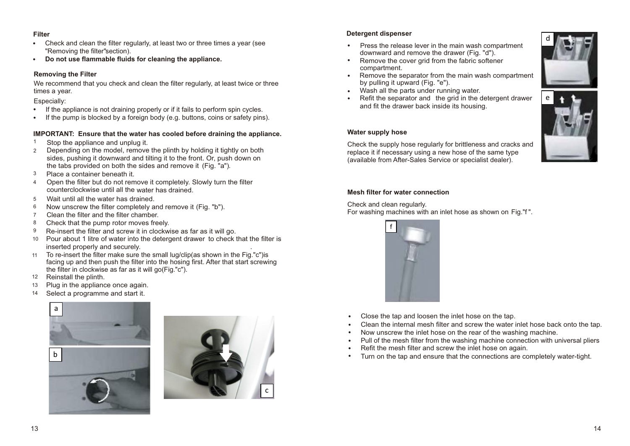- **Filter** . Check and clean the filter regularly, at least two or three times a year (see "Removing the filter"section).
- **Do not use flammable fluids for cleaning the appliance.** .

#### **Removing the Filter**

times a year. We recommend that you check and clean the filter regularly, at least twice or three

- Especially:<br>• If the a If the appliance is not draining properly or if it fails to perform spin cycles. .
- If the pump is blocked by a foreign body (e.g. buttons, coins or safety pins).

#### **IMPORTANT: Ensure that the water has cooled before draining the appliance.**

- Stop the appliance and unplug it. **.** 1
- Depending on the model, remove the plinth by holding it tightly on both sides, pushing it downward and tilting it to the front. Or, push down on the tabs provided on both the sides and remove it (Fig. "a"). 2
- Place a container beneath it. 3
- 4 Open the filter but do not remove it completely. Slowly turn the filter counterclockwise until all the water has drained.
- Wait until all the water has drained. 5
- Now unscrew the filter completely and remove it (Fig. "b"). 6
- 7 Clean the filter and the filter chamber.
- Check that the pump rotor moves freely. 8
- 9 Re-insert the filter and screw it in clockwise as far as it will go.
- Pour about 1 litre of water into the detergent drawer to check that the filter is 10 inserted properly and securely. .
- 11 To re-insert the filter make sure the small lug/clip(as shown in the Fig."c")is facing up and then push the filter into the hosing first. After that start screwing the filter in clockwise as far as it will go(Fig."c").
- 12 Reinstall the plinth.
- Plug in the appliance once again. 13
- Select a programme and start it. 14





#### **Detergent dispenser**

- downward and remove the drawer (Fig. "d"). Press the release lever in the main wash compartment .
- Remove the cover grid from the fabric softener compartment. .
- Remove the separator from the main wash compartment by pulling it upward (Fig. "e"). by pulling it upward (Fig. "e").<br>Wash all the parts under running water. .
- 
- Refit the separator and the grid in the detergent drawer and fit the drawer back inside its housing. .



d

#### **Water supply hose**

Check the supply hose regularly for brittleness and cracks and replace it if necessary using a new hose of the same type (available from After-Sales Service or specialist dealer).

#### **Mesh filter for water connection**

Check and clean regularly.

For washing machines with an inlet hose as shown on Fig."f ".



- Close the tap and loosen the inlet hose on the tap. . .
- Clean the internal mesh filter and screw the water inlet hose back onto the tap.
- Clean the internal mesh filter and screw the water inlet hose back-<br>• Now unscrew the inlet hose on the rear of the washing machine.
- . . Pull of the mesh filter from the washing machine connection with universal pliers
- Refit the mesh filter and screw the inlet hose on again. .
- Turn on the tap and ensure that the connections are completely water-tight.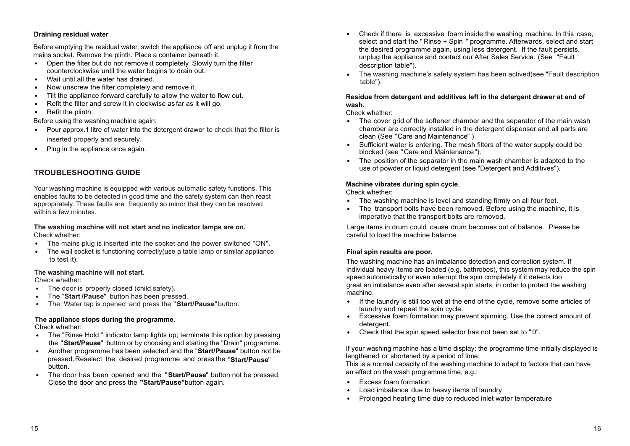#### **Draining residual water**

Before emptying the residual water, switch the appliance off and unplug it from the

- mains socket. Remove the plinth. Place a container beneath it.<br>• Open the filter but do not remove it completely. Slowly tu Open the filter but do not remove it completely. Slowly turn the filter counterclockwise until the water begins to drain out.
- counterclockwise until the water be<br>• Wait until all the water has drained.
- Now unscrew the filter completely and remove it. . .
- Tilt the appliance forward carefully to allow the water to flow out.
- Refit the filter and screw it in clockwise as far as it will go. .
- Refit the plinth. .

- Before using the washing machine again:<br>• Pour approx.1 litre of water into the d Pour approx.1 litre of water into the detergent drawer to check that the filter is inserted properly and securely.
- Plug in the appliance once again. .

#### **TROUBLESHOOTING GUIDE**

enables faults to be detected in good time and the safety system can then react appropriately. These faults are frequently so minor that they can be resolved within a few minutes. Your washing machine is equipped with various automatic safety functions. This

#### **The washing machine will not start and no indicator lamps are on.** Check whether:

- The mains plug is inserted into the socket and the power switched "ON". .
- The mains plug is inserted into the socket and the power switched "ON".<br>• The wall socket is functioning correctly (use a table lamp or similar appliance to test it).

#### **The washing machine will not start.**

Check whether: .

- 
- The door is properly closed (child safety).<br>• The "Start/Pause" button has been pres The "**Start /Pause**" button has been pressed.
- The "**Start /Pause**" button has been pressed.<br>• The Water tap is opened and press the "**Start/Pause**" button.

#### **The appliance stops during the programme.**

Check whether:

- Check whether:<br>• The "Rinse Hold " indicator lamp lights up; terminate this option by pressing the "**Start/Pause**" button or by choosing and starting the "Drain" programme.
- the "Start/Pause" button or by choosing and starting the "Drain" programme.<br>Another programme has been selected and the "Start/Pause" button not be button. . pressed.Reselect the desired programme and press the "**Start/Pause**"
- The door has been opened and the "**Start/Pause**" button not be pressed. Close the door and press the **"Start/Pause"**button again. .
- Check if there is excessive foam inside the washing machine. In this case, . select and start the "Rinse + Spin " programme. Afterwards, select and start the desired programme again, using less detergent. If the fault persists, unplug the appliance and contact our After Sales Service. (See "Fault description table").
- . The washing machine's safety system has been actived(see "Fault description table").

#### **Residue from detergent and additives left in the detergent drawer at end of wash.**

- Check whether:<br>● The cover • The cover grid of the softener chamber and the separator of the main wash chamber are correctly installed in the detergent dispenser and all parts are clean (See "Care and Maintenance" ).
- clean (See "Care and Maintenance" ).<br>
Sufficient water is entering. The mesh filters of the water supply could be blocked (see "Care and Maintenance").
- blocked (see "Care and Maintenance").<br>• The position of the separator in the main wash chamber is adapted to the use of powder or liquid detergent (see "Detergent and Additives").

#### **Machine vibrates during spin cycle.**

Check whether:

- Check whether:<br>• The washing machine is level and standing firmly on all four feet.
- The washing machine is level and standing firmly on all four feet.<br>• The transport bolts have been removed. Before using the machine, it is imperative that the transport bolts are removed.

Large items in drum could cause drum becomes out of balance. Please be careful to load the machine balance.

#### **Final spin results are poor.**

The washing machine has an imbalance detection and correction system. If individual heavy items are loaded (e.g. bathrobes), this system may reduce the spin speed automatically or even interrupt the spin completely if it detects too great an imbalance even after several spin starts, in order to protect the washing machine.

- machine.<br>• If the laundry is still too wet at the end of the cycle, remove some articles of laundry and repeat the spin cycle. laundry and repeat the spin cycle.<br>• Excessive foam formation may prevent spinning. Use the correct amount of
- detergent. detergent.<br>• Check that the spin speed selector has not been set to "0".
- 

If your washing machine has a time display: the programme time initially displayed is lengthened or shortened by a period of time:

This is a normal capacity of the washing machine to adapt to factors that can have an effect on the wash programme time, e.g.: .

- Excess foam formation
- Excess foam formation<br>• Load imbalance due to heavy items of laundry .
- Prolonged heating time due to reduced inlet water temperature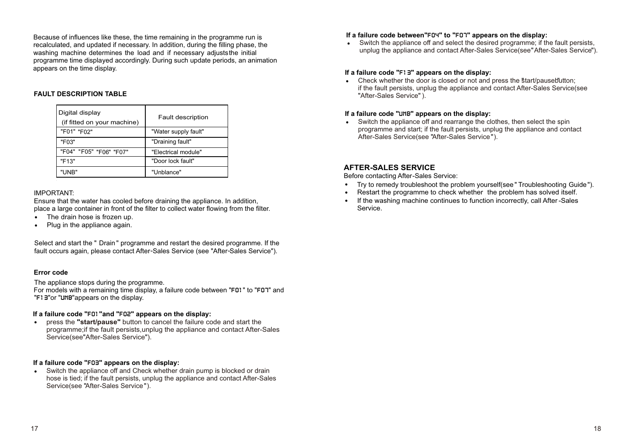Because of influences like these, the time remaining in the programme run is recalculated, and updated if necessary. In addition, during the filling phase, the washing machine determines the load and if necessary adjusts the initial programme time displayed accordingly. During such update periods, an animation appears on the time display.

#### **FAULT DESCRIPTION TABLE**

| Digital display<br>(if fitted on your machine) | <b>Fault description</b> |
|------------------------------------------------|--------------------------|
| "F01" "F02"                                    | "Water supply fault"     |
| "F03"                                          | "Draining fault"         |
| "F04" "F05" "F06" "F07"                        | "Electrical module"      |
| "F13"                                          | "Door lock fault"        |
| "UNB"                                          | "Unblance"               |

#### IMPORTANT:

Ensure that the water has cooled before draining the appliance. In addition, place a large container in front of the filter to collect water flowing from the filter.<br>• The drain hose is frozen up.

- The drain hose is frozen up.
- Plug in the appliance again.

Select and start the " Drain " programme and restart the desired programme. If the fault occurs again, please contact After-Sales Service (see "After-Sales Service").

#### **Error code**

The appliance stops during the programme.

For models with a remaining time display, a failure code between "F01" to "F07" and "F13"or "UNB"appears on the display.

**If a failure code "**F01**"and "**F02**" appears on the display:** . press the **"start/pause"** button to cancel the failure code and start the programme;if the fault persists,unplug the appliance and contact After-Sales Service(see"After-Sales Service").

**If a failure code "F03" appears on the display:**<br>• Switch the appliance off and Check whether • Switch the appliance off and Check whether drain pump is blocked or drain hose is tied; if the fault persists, unplug the appliance and contact After-Sales Service(see "After-Sales Service").

#### **If a failure code between"**F04**" to "**F07**" appears on the display:**

If a failure code between"FD4" to "FD7" appears on the display:<br>• Switch the appliance off and select the desired programme; if the fault persists, unplug the appliance and contact After-Sales Service(see" After-Sales Service").

#### **If a failure code "**F13**" appears on the display:**

If a failure code "F! E" appears on the display:<br>• Check whether the door is closed or not and press the start/pausebutton; if the fault persists, unplug the appliance and contact After-Sales Service(see "After-Sales Service").

**If a failure code "UNB" appears on the display:**<br>• Switch the appliance off and rearrange the cl Switch the appliance off and rearrange the clothes, then select the spin programme and start; if the fault persists, unplug the appliance and contact After-Sales Service(see "After-Sales Service").

#### **AFTER-SALES SERVICE**

Before contacting After-Sales Service:

- . Before contacting After-Sales Service:<br>• Try to remedy troubleshoot the problem yourself(see "Troubleshooting Guide ").
- Restart the programme to check whether the problem has solved itself.
- If the washing machine continues to function incorrectly, call After-Sales Service. .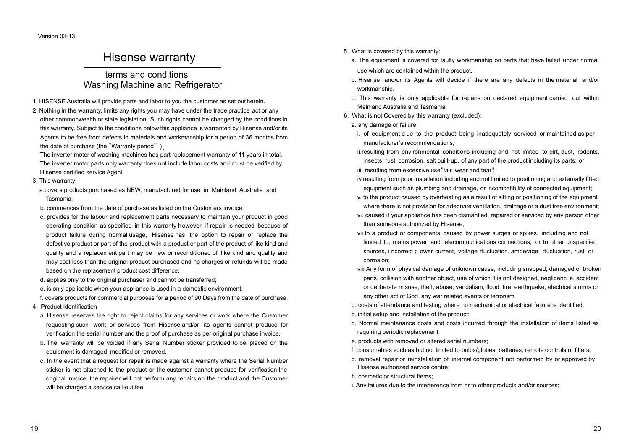Version 03-13

### Hisense warranty

### terms and conditions Washing Machine and Refrigerator

- 1. HISENSE Australia will provide parts and labor to you the customer as set out herein.
- 2. Nothing in the warranty, limits any rights you may have under the trade practice act or any other commonwealth or state legislation. Such rights cannot be changed by the conditions in this warranty. Subject to the conditions below this appliance is warranted by Hisense and/or its Agents to be free from defects in materials and workmanship for a period of 36 months from the date of purchase (the "Warranty period").

The inverter motor of washing machines has part replacement warranty of 11 years in total. The inverter motor parts only warranty does not include labor costs and must be verified by Hisense certified service Agent.

3. This warranty:

a.covers products purchased as NEW, manufactured for use in Mainland Australia and Tasmania;

- b. commences from the date of purchase as listed on the Customers invoice;
- c. provides for the labour and replacement parts necessary to maintain your product in good operating condition as specified in this warranty however, if repair is needed because of product failure during normal usage, Hisense has the option to repair or replace the defective product or part of the product with a product or part of the product of like kind and quality and a replacement part may be new or reconditioned of like kind and quality and may cost less than the original product purchased and no charges or refunds will be made based on the replacement product cost difference;
- d. applies only to the original purchaser and cannot be transferred;
- e. is only applicable when your appliance is used in a domestic environment;
- f. covers products for commercial purposes for a period of 90 Days from the date of purchase.
- 4. Product Identification
	- a. Hisense reserves the right to reject claims for any services or work where the Customer requesting such work or services from Hisense and/or its agents cannot produce for verification the serial number and the proof of purchase as per original purchase invoice.
	- b. The warranty will be voided if any Serial Number sticker provided to be placed on the equipment is damaged, modified or removed.
	- c. In the event that a request for repair is made against a warranty where the Serial Number sticker is not attached to the product or the customer cannot produce for verification the original invoice, the repairer will not perform any repairs on the product and the Customer will be charged a service call-out fee.
- 5. What is covered by this warranty:
	- a. The equipment is covered for faulty workmanship on parts that have failed under normal use which are contained within the product.
	- b. Hisense and/or its Agents will decide if there are any defects in the material and/or workmanship.
	- c. This warranty is only applicable for repairs on declared equipment carried out within Mainland Australia and Tasmania.
- 6. What is not Covered by this warranty (excluded):
	- a. any damage or failure:
	- i. of equipment d ue to the product being inadequately serviced or maintained as per manufacturer's recommendations;
	- ii.resulting from environmental conditions including and not limited to dirt, dust, rodents, insects, rust, corrosion, salt built-up, of any part of the product including its parts; or iii. resulting from excessive use "fair wear and tear".
	- iv.resulting from poor installation including and not limited to positioning and externally fitted equipment such as plumbing and drainage, or incompatibility of connected equipment;
	- v. to the product caused by overheating as a result of sitting or positioning of the equipment, where there is not provision for adequate ventilation, drainage or a dust free environment;
	- vi. caused if your appliance has been dismantled, repaired or serviced by any person other than someone authorized by Hisense;
	- vii.to a product or components, caused by power surges or spikes, including and not limited to, mains power and telecommunications connections, or to other unspecified sources, i ncorrect p ower current, voltage fluctuation, amperage fluctuation, rust or corrosion;
	- viii.Any form of physical damage of unknown cause, including snapped, damaged or broken parts, collision with another object, use of which it is not designed, negligenc e, accident or deliberate misuse, theft, abuse, vandalism, flood, fire, earthquake, electrical storms or any other act of God, any war related events or terrorism.
	- b. costs of attendance and testing where no mechanical or electrical failure is identified;
	- c. initial setup and installation of the product;
	- d. Normal maintenance costs and costs incurred through the installation of items listed as requiring periodic replacement;
	- e. products with removed or altered serial numbers;
	- f. consumables such as but not limited to bulbs/globes, batteries, remote controls or filters;
	- g. removal repair or reinstallation of internal component not performed by or approved by Hisense authorized service centre;
	- h. cosmetic or structural items;
- i. Any failures due to the interference from or to other products and/or sources;